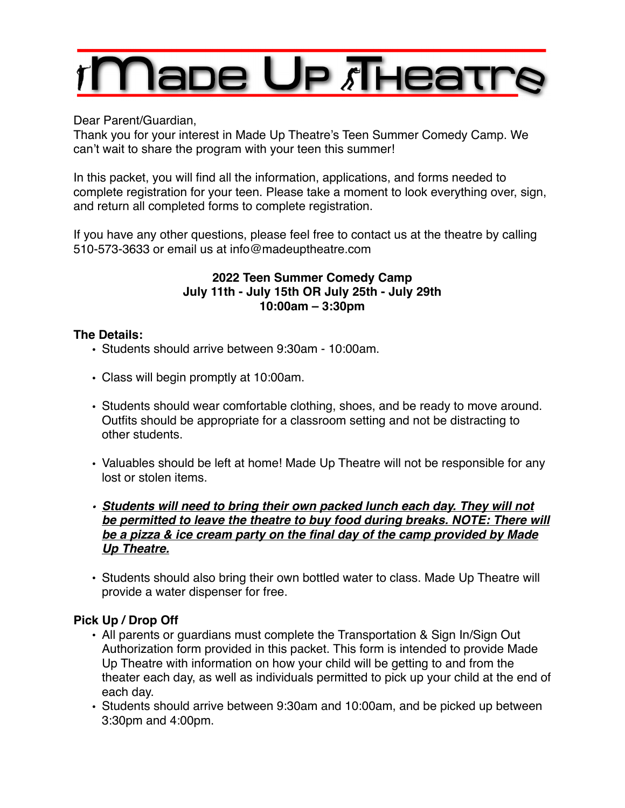# Паре Up Лнеат

Dear Parent/Guardian,

Thank you for your interest in Made Up Theatre's Teen Summer Comedy Camp. We can't wait to share the program with your teen this summer!

In this packet, you will find all the information, applications, and forms needed to complete registration for your teen. Please take a moment to look everything over, sign, and return all completed forms to complete registration.

If you have any other questions, please feel free to contact us at the theatre by calling 510-573-3633 or email us at info@madeuptheatre.com

# **2022 Teen Summer Comedy Camp July 11th - July 15th OR July 25th - July 29th 10:00am – 3:30pm**

# **The Details:**

- Students should arrive between 9:30am 10:00am.
- Class will begin promptly at 10:00am.
- Students should wear comfortable clothing, shoes, and be ready to move around. Outfits should be appropriate for a classroom setting and not be distracting to other students.
- Valuables should be left at home! Made Up Theatre will not be responsible for any lost or stolen items.
- *• Students will need to bring their own packed lunch each day. They will not be permitted to leave the theatre to buy food during breaks. NOTE: There will be a pizza & ice cream party on the final day of the camp provided by Made Up Theatre.*
- Students should also bring their own bottled water to class. Made Up Theatre will provide a water dispenser for free.

# **Pick Up / Drop Off**

- All parents or guardians must complete the Transportation & Sign In/Sign Out Authorization form provided in this packet. This form is intended to provide Made Up Theatre with information on how your child will be getting to and from the theater each day, as well as individuals permitted to pick up your child at the end of each day.
- Students should arrive between 9:30am and 10:00am, and be picked up between 3:30pm and 4:00pm.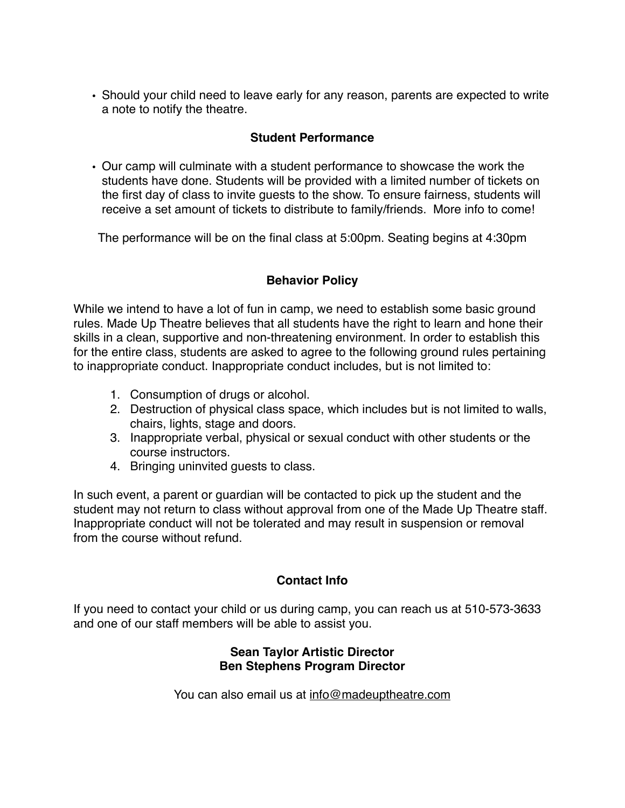• Should your child need to leave early for any reason, parents are expected to write a note to notify the theatre.

## **Student Performance**

• Our camp will culminate with a student performance to showcase the work the students have done. Students will be provided with a limited number of tickets on the first day of class to invite guests to the show. To ensure fairness, students will receive a set amount of tickets to distribute to family/friends. More info to come!

The performance will be on the final class at 5:00pm. Seating begins at 4:30pm

# **Behavior Policy**

While we intend to have a lot of fun in camp, we need to establish some basic ground rules. Made Up Theatre believes that all students have the right to learn and hone their skills in a clean, supportive and non-threatening environment. In order to establish this for the entire class, students are asked to agree to the following ground rules pertaining to inappropriate conduct. Inappropriate conduct includes, but is not limited to:

- 1. Consumption of drugs or alcohol.
- 2. Destruction of physical class space, which includes but is not limited to walls, chairs, lights, stage and doors.
- 3. Inappropriate verbal, physical or sexual conduct with other students or the course instructors.
- 4. Bringing uninvited guests to class.

In such event, a parent or guardian will be contacted to pick up the student and the student may not return to class without approval from one of the Made Up Theatre staff. Inappropriate conduct will not be tolerated and may result in suspension or removal from the course without refund.

# **Contact Info**

If you need to contact your child or us during camp, you can reach us at 510-573-3633 and one of our staff members will be able to assist you.

### **Sean Taylor Artistic Director Ben Stephens Program Director**

You can also email us at [info@madeuptheatre.com](mailto:info@madeuptheatre.com)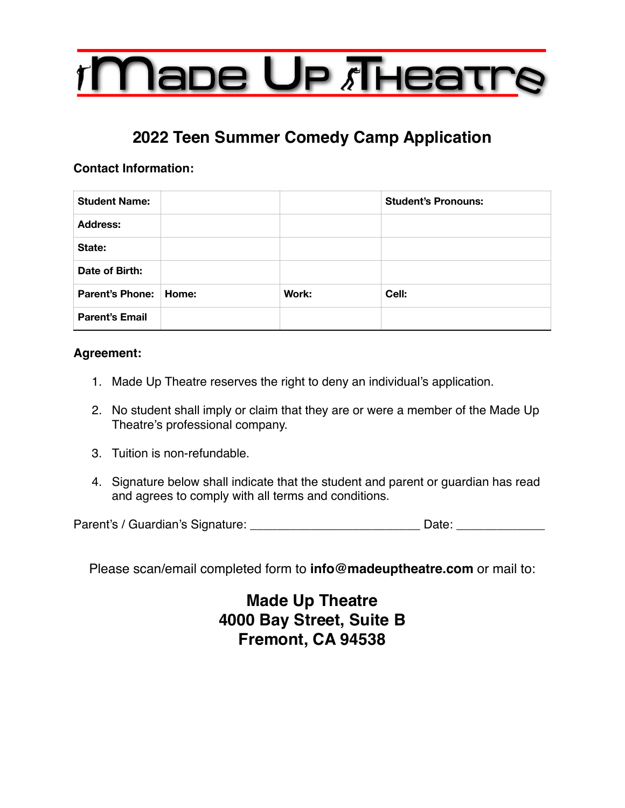

# **2022 Teen Summer Comedy Camp Application**

## **Contact Information:**

| <b>Student Name:</b>    |       | <b>Student's Pronouns:</b> |
|-------------------------|-------|----------------------------|
| <b>Address:</b>         |       |                            |
| State:                  |       |                            |
| Date of Birth:          |       |                            |
| Parent's Phone:   Home: | Work: | Cell:                      |
| <b>Parent's Email</b>   |       |                            |

## **Agreement:**

- 1. Made Up Theatre reserves the right to deny an individual's application.
- 2. No student shall imply or claim that they are or were a member of the Made Up Theatre's professional company.
- 3. Tuition is non-refundable.
- 4. Signature below shall indicate that the student and parent or guardian has read and agrees to comply with all terms and conditions.

Parent's / Guardian's Signature: \_\_\_\_\_\_\_\_\_\_\_\_\_\_\_\_\_\_\_\_\_\_\_\_\_\_\_\_\_\_\_\_\_\_ Date: \_\_\_\_\_\_\_\_\_\_\_\_\_

Please scan/email completed form to **info@madeuptheatre.com** or mail to:

**Made Up Theatre 4000 Bay Street, Suite B Fremont, CA 94538**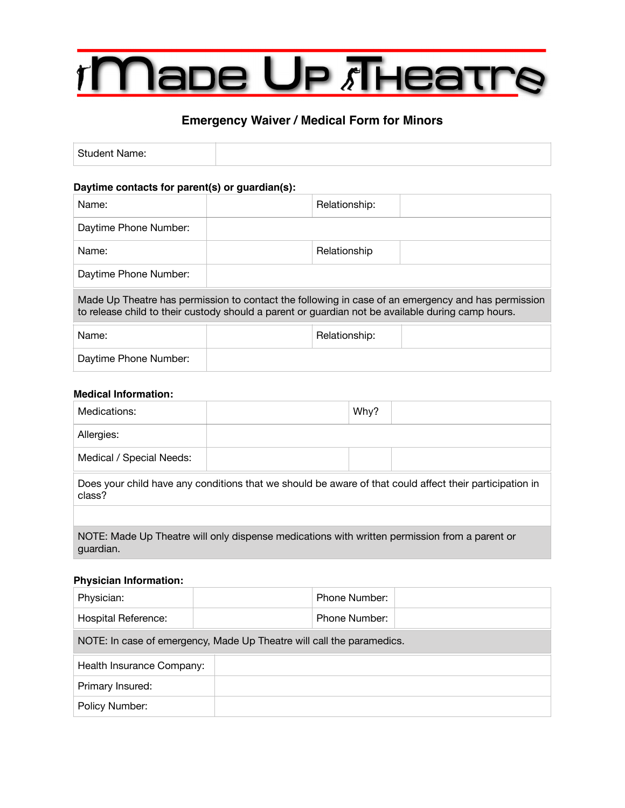# **Nape Up Theatre**

# **Emergency Waiver / Medical Form for Minors**

| <b>Student Name:</b> |  |
|----------------------|--|
|                      |  |

#### **Daytime contacts for parent(s) or guardian(s):**

| Name:                                                                                                                                                                                                   |  | Relationship: |  |  |
|---------------------------------------------------------------------------------------------------------------------------------------------------------------------------------------------------------|--|---------------|--|--|
| Daytime Phone Number:                                                                                                                                                                                   |  |               |  |  |
| Name:                                                                                                                                                                                                   |  | Relationship  |  |  |
| Daytime Phone Number:                                                                                                                                                                                   |  |               |  |  |
| Made Up Theatre has permission to contact the following in case of an emergency and has permission<br>to release child to their custody should a parent or guardian not be available during camp hours. |  |               |  |  |
| Name:                                                                                                                                                                                                   |  | Relationship: |  |  |
| Daytime Phone Number:                                                                                                                                                                                   |  |               |  |  |

#### **Medical Information:**

| Medications:                                                                                                      |  | Why? |  |  |
|-------------------------------------------------------------------------------------------------------------------|--|------|--|--|
| Allergies:                                                                                                        |  |      |  |  |
| Medical / Special Needs:                                                                                          |  |      |  |  |
| Does your child have any conditions that we should be aware of that could affect their participation in<br>class? |  |      |  |  |
|                                                                                                                   |  |      |  |  |
| NOTE: Made Up Theatre will only dispense medications with written permission from a parent or<br>guardian.        |  |      |  |  |

#### **Physician Information:**

| Physician:                                                            |  | Phone Number: |
|-----------------------------------------------------------------------|--|---------------|
| Hospital Reference:                                                   |  | Phone Number: |
| NOTE: In case of emergency, Made Up Theatre will call the paramedics. |  |               |
|                                                                       |  |               |
| Health Insurance Company:                                             |  |               |
| Primary Insured:                                                      |  |               |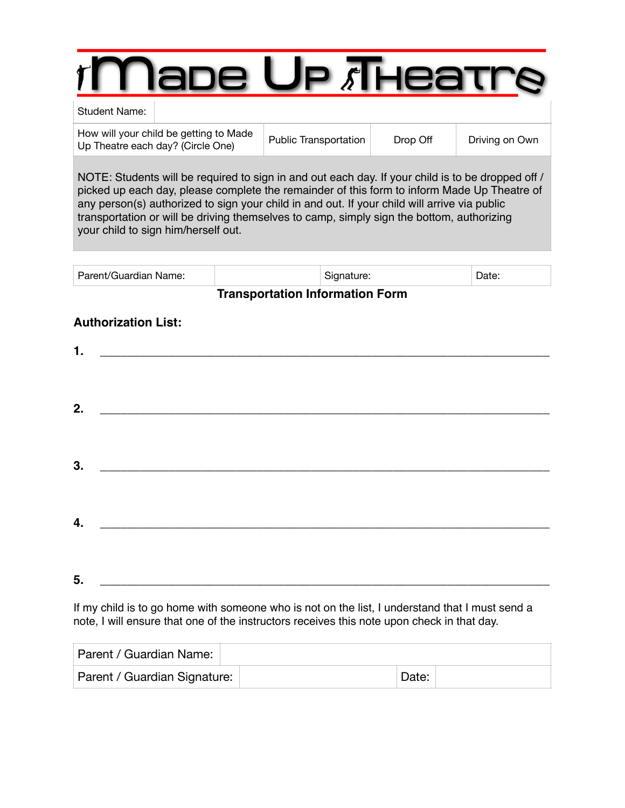# ape Up *i*Thea

#### Student Name:

How will your child be getting to Made How will your critic be getting to made<br>Up Theatre each day? (Circle One) Public Transportation Drop Off Driving on Own

NOTE: Students will be required to sign in and out each day. If your child is to be dropped off / picked up each day, please complete the remainder of this form to inform Made Up Theatre of any person(s) authorized to sign your child in and out. If your child will arrive via public transportation or will be driving themselves to camp, simply sign the bottom, authorizing your child to sign him/herself out.

| <b>Parent/Guardian Name:</b><br>יוו זו ה |  |  |
|------------------------------------------|--|--|
|------------------------------------------|--|--|

## **Transportation Information Form**

## **Authorization List:**

| 1. |                                                                                                                       |  |  |
|----|-----------------------------------------------------------------------------------------------------------------------|--|--|
|    |                                                                                                                       |  |  |
|    |                                                                                                                       |  |  |
| 2. |                                                                                                                       |  |  |
|    |                                                                                                                       |  |  |
|    |                                                                                                                       |  |  |
| 3. | <u> 1980 - Johann John Stone, mars eta bat eta bat eta bat eta bat eta bat eta bat eta bat eta bat eta bat eta b</u>  |  |  |
|    |                                                                                                                       |  |  |
|    |                                                                                                                       |  |  |
| 4. | <u> 2008 - Jan James James James James James James James James James James James James James James James James Ja</u> |  |  |
|    |                                                                                                                       |  |  |
|    |                                                                                                                       |  |  |
| 5. | <u> 1989 - Andrea Andrew Maria (h. 1989).</u>                                                                         |  |  |

If my child is to go home with someone who is not on the list, I understand that I must send a note, I will ensure that one of the instructors receives this note upon check in that day.

| Parent / Guardian Name:      |       |  |
|------------------------------|-------|--|
| Parent / Guardian Signature: | Date: |  |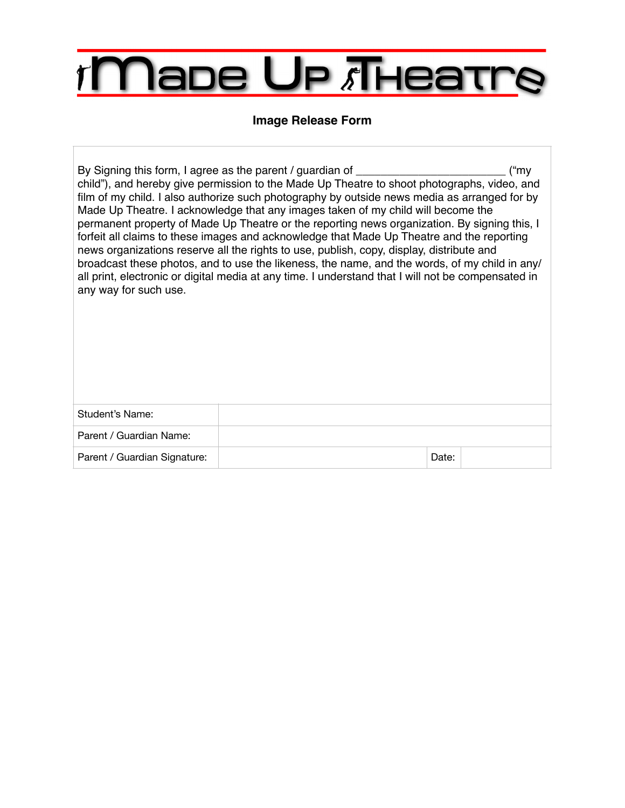# **Mape Up Theatre**  $\mathcal{T}$

# **Image Release Form**

| By Signing this form, I agree as the parent / guardian of ____<br>("my<br>child"), and hereby give permission to the Made Up Theatre to shoot photographs, video, and<br>film of my child. I also authorize such photography by outside news media as arranged for by<br>Made Up Theatre. I acknowledge that any images taken of my child will become the<br>permanent property of Made Up Theatre or the reporting news organization. By signing this, I<br>forfeit all claims to these images and acknowledge that Made Up Theatre and the reporting<br>news organizations reserve all the rights to use, publish, copy, display, distribute and<br>broadcast these photos, and to use the likeness, the name, and the words, of my child in any/<br>all print, electronic or digital media at any time. I understand that I will not be compensated in<br>any way for such use. |  |
|------------------------------------------------------------------------------------------------------------------------------------------------------------------------------------------------------------------------------------------------------------------------------------------------------------------------------------------------------------------------------------------------------------------------------------------------------------------------------------------------------------------------------------------------------------------------------------------------------------------------------------------------------------------------------------------------------------------------------------------------------------------------------------------------------------------------------------------------------------------------------------|--|
|                                                                                                                                                                                                                                                                                                                                                                                                                                                                                                                                                                                                                                                                                                                                                                                                                                                                                    |  |

| Student's Name:              |       |  |
|------------------------------|-------|--|
| Parent / Guardian Name:      |       |  |
| Parent / Guardian Signature: | Date: |  |